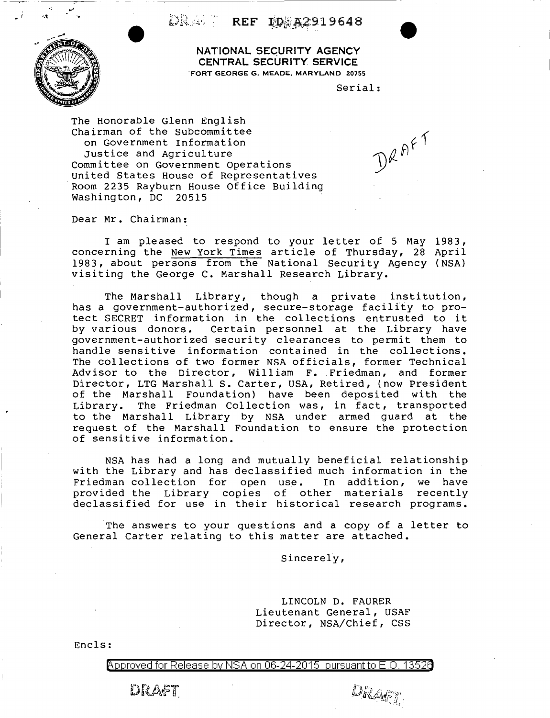DRAGI REF IDRAZ919648



**NATIONAL SECURITY AGENCY CENTRAL SECURITY SERVICE**  "FORT GEORGE G. MEADE, MARYLAND 20755

Serial:

DRAFT

The Honorable Glenn English Chairman of the Subcommittee on Government Information Justice and Agriculture Committee on Government Operations United States House of Representatives Room 2235 Rayburn House Office Building Washington, DC 20515

Dear Mr. Chairman:

I am pleased to respond to your letter of 5 May 1983, concerning the New York Times article of Thursday, 28 April 1983, about persons from the National Security Agency ( NSA) visiting the George C. Marshall Research Library.

The Marshall Library, though a private institution, has a government-authorized, secure-storage facility to protect SECRET information in the collections entrusted to it by various donors. Certain personnel at the Library have government-authorized security clearances to permit them to handle sensitive information contained in the collections. The collections of two former NSA officials, former Technical Advisor to the Director, William F. Friedman, and former Director, LTG Marshall S. Carter, USA, Retired, (now President of the Marshall Foundation) have been deposited with the Library. The Friedman Collection was, in fact, transported to the Marshall Library by NSA under armed guard at the request of the Marshall Foundation to ensure the protection of sensitive information.

NSA has had a long and mutually beneficial relationship with the Library and has declassified much information in the Friedman collection for open use. In addition, we have provided the Library copies of other materials recently provided the Eistury copies of centrumaterials recentry

The answers to your questions and a copy of a letter to General Carter relating to this matter are attached.

Sincerely,

LINCOLN D. FAURER Lieutenant General, USAF Director, NSA/Chief, CSS

DRAFT

Encls:

Approved for Release by NSA on 06-24-2015 pursuant to E.O. 13526

DRAFT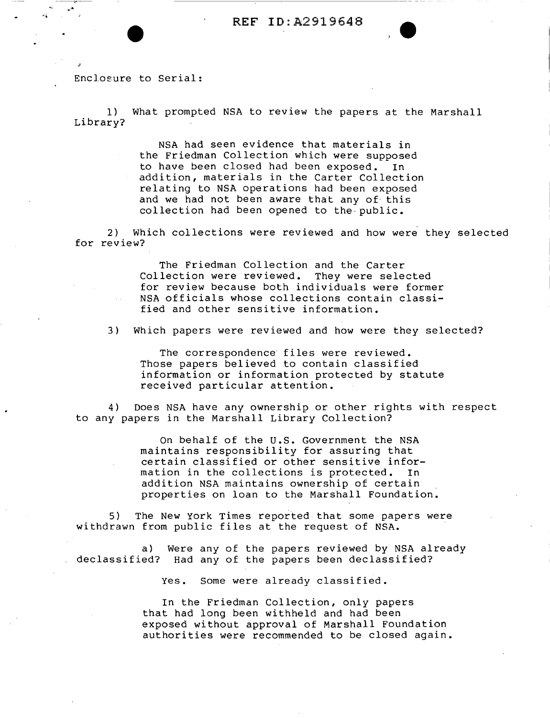Enclosure to Serial:

1) What prompted NSA to review the papers at the Marshall Library?

> NSA had seen evidence that materials in the Friedman Collection which were supposed to have been closed had been exposed. In addition, materials in the Carter Collection relating to NSA operations had been exposed and we had not been aware that any of· this collection had been opened to the-public.

2) Which collections were reviewed and how were they selected for review?

> The Friedman Collection and the Carter Collection were reviewed. They were selected for review because both individuals were former NSA officials whose collections contain classified and other sensitive information.

3) Which papers were reviewed and how were they selected?

The correspondence files were reviewed. Those papers believed to contain classified information or information protected by statute received particular attention.

4) Does NSA have any ownership or other rights with respect to any papers in the Marshall Library Collection?

> On behalf of the U.S. Government the NSA maintains responsibility for assuring that certain classified or other sensitive information in the collections is protected. In addition NSA maintains ownership of certain . properties on loan to the Marshall Foundation.

5) The New York Times reported that some papers were withdrawn from public files at the request of NSA.

a) Were any of the papers reviewed by NSA already declassified? Had any of the papers been declassified?

Yes. Some were already classified.

In the Friedman Collection, only papers that had long been withheld and had been exposed without approval of Marshall Foundation authorities were recommended to be closed again.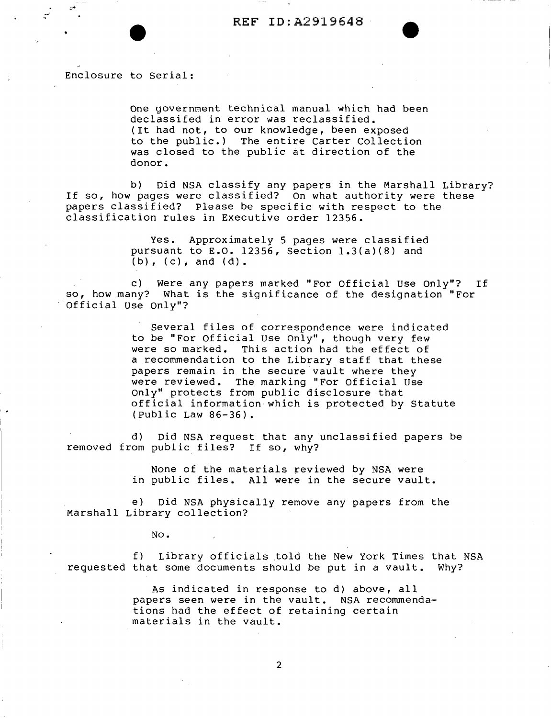Enclosure to Serial:

One government technical manual which had been declassifed in error was reclassified. (It had not, to our knowledge, been exposed to the public.) The entire Carter Collection was closed to the public at direction of the donor.

b) Did NSA classify any papers in the Marshall Library? If so, how pages were classified? On what authority were these papers classified? Please be specific with respect to the classification rules in Executive order 12356.

> Yes. Approximately 5 pages were classified pursuant to E.O. 12356, Section l.3(a)(8) and  $(b)$ ,  $(c)$ , and  $(d)$ .

c) Were any papers marked "For Official use only"? If so, how many? What is the significance of the designation "For Official Use only"?

> several files of correspondence were indicated to be "For Official use Only", though very few were so marked. This action had the effect of were so marked. This action had the effect of<br>a recommendation to the Library staff that these papers remain in the secure vault where they were reviewed. The marking "For Official Use only" protects from public disclosure that official information which is protected by Statute (Public Law 86-36).

d) Did NSA request that any unclassified papers be removed from public files? If so, why?

> None of the materials reviewed by NSA were in public files. All were in the secure vault.

e) Did NSA physically remove any papers from the Marshall Library collection?

No.

' .

f) Library officials told the New York Times that NSA requested that some documents should be put in a vault. Why?

> As indicated in response to d) above, all papers seen were in the vault. NSA recommendations had the effect of retaining certain materials in the vault.

> > 2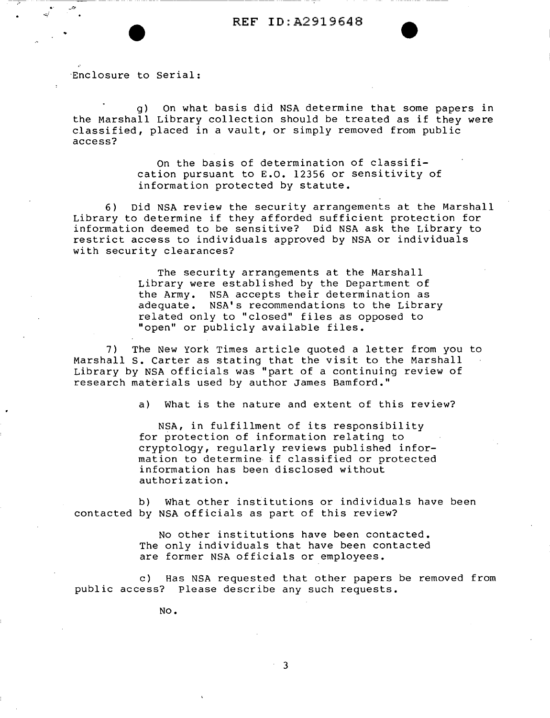·Enclosure to Serial:

--,,-

g) On what basis did NSA determine that some papers in the Marshall Library collection should be treated as if they were classified, placed in a vault, or simply removed from public access?

> on the basis of determination of classification pursuant to E.O. 12356 or sensitivity of information protected by statute.

6) Did NSA review the security arrangements at the Marshall Library to determine if they afforded sufficient protection for information deemed to be sensitive? Did NSA ask the Library to restrict access to individuals approved by NSA or individuals with security clearances?

> The security arrangements at the Marshall Library were established by the Department of the Army. NSA accepts their determination as adequate. NSA's recommendations to the Library related only to "closed" files as opposed to "open" or publicly available files.

7) The New York Times article quoted a letter from you to Marshall s. Carter as stating that the visit to the Marshall Library by NSA officials was "part of a continuing review of research materials used by author James Bamford."

a) What is the nature and extent of this review?

NSA, in fulfillment of its responsibility for protection of information relating to cryptology, regularly reviews published information to determine if classified or protected information has been disclosed without authorization.

b) What other institutions or individuals have been contacted by NSA officials as part of this review?

> No other institutions have been contacted. The only individuals that have been contacted are former NSA officials or employees.

c) Has NSA requested that other papers be removed from public access? Please describe any such requests.

No.